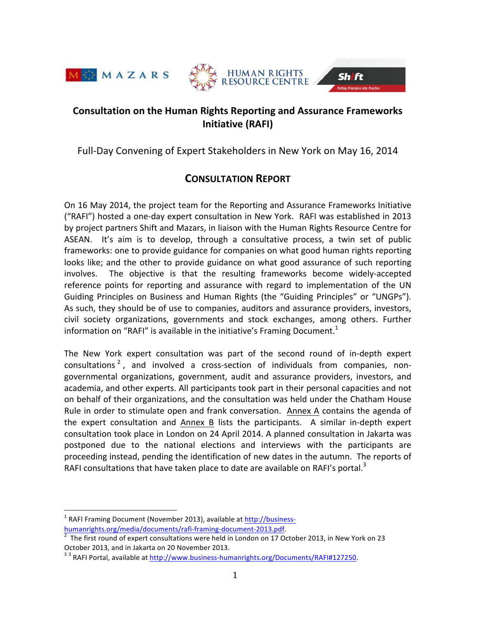





# **Consultation on the Human Rights Reporting and Assurance Frameworks Initiative (RAFI)**

Full-Day Convening of Expert Stakeholders in New York on May 16, 2014

# **CONSULTATION REPORT**

On 16 May 2014, the project team for the Reporting and Assurance Frameworks Initiative ("RAFI") hosted a one-day expert consultation in New York. RAFI was established in 2013 by project partners Shift and Mazars, in liaison with the Human Rights Resource Centre for ASEAN. It's aim is to develop, through a consultative process, a twin set of public frameworks: one to provide guidance for companies on what good human rights reporting looks like; and the other to provide guidance on what good assurance of such reporting involves. The objective is that the resulting frameworks become widely-accepted reference points for reporting and assurance with regard to implementation of the UN Guiding Principles on Business and Human Rights (the "Guiding Principles" or "UNGPs"). As such, they should be of use to companies, auditors and assurance providers, investors, civil society organizations, governments and stock exchanges, among others. Further information on "RAFI" is available in the initiative's Framing Document.<sup>1</sup>

The New York expert consultation was part of the second round of in-depth expert consultations<sup>2</sup>, and involved a cross-section of individuals from companies, nongovernmental organizations, government, audit and assurance providers, investors, and academia, and other experts. All participants took part in their personal capacities and not on behalf of their organizations, and the consultation was held under the Chatham House Rule in order to stimulate open and frank conversation. Annex A contains the agenda of the expert consultation and Annex B lists the participants. A similar in-depth expert consultation took place in London on 24 April 2014. A planned consultation in Jakarta was postponed due to the national elections and interviews with the participants are proceeding instead, pending the identification of new dates in the autumn. The reports of RAFI consultations that have taken place to date are available on RAFI's portal.<sup>3</sup>

 $1$  RAFI Framing Document (November 2013), available at http://businesshumanrights.org/media/documents/rafi-framing-document-2013.pdf.

The first round of expert consultations were held in London on 17 October 2013, in New York on 23 October 2013, and in Jakarta on 20 November 2013.

<sup>33</sup> RAFI Portal, available at http://www.business-humanrights.org/Documents/RAFI#127250.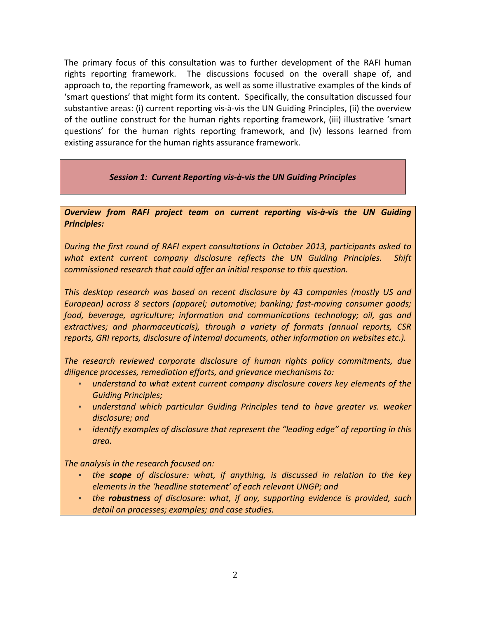The primary focus of this consultation was to further development of the RAFI human rights reporting framework. The discussions focused on the overall shape of, and approach to, the reporting framework, as well as some illustrative examples of the kinds of 'smart questions' that might form its content. Specifically, the consultation discussed four substantive areas: (i) current reporting vis-à-vis the UN Guiding Principles, (ii) the overview of the outline construct for the human rights reporting framework, (iii) illustrative 'smart questions' for the human rights reporting framework, and (iv) lessons learned from existing assurance for the human rights assurance framework.

### Session 1: Current Reporting vis-à-vis the UN Guiding Principles

*Overview from RAFI project team on current reporting vis-à-vis the UN Guiding Principles:*

*During the first round of RAFI expert consultations in October 2013, participants asked to what* extent current company disclosure reflects the UN Guiding Principles. Shift *commissioned research that could offer an initial response to this question.* 

*This desktop research was based on recent disclosure by 43 companies (mostly US and European)* across *8 sectors (apparel; automotive; banking; fast-moving consumer goods; food, beverage, agriculture; information and communications technology; oil, gas and extractives; and pharmaceuticals), through a variety of formats (annual reports, CSR reports, GRI reports, disclosure of internal documents, other information on websites etc.).* 

The research reviewed corporate disclosure of human rights policy commitments, due diligence processes, remediation efforts, and grievance mechanisms to:

- understand to what extent current company disclosure covers key elements of the *Guiding Principles;*
- *understand which particular Guiding Principles tend to have greater vs. weaker* disclosure; and
- *identify examples of disclosure that represent the "leading edge" of reporting in this area.*

The analysis in the research focused on:

- the **scope** of disclosure: what, if anything, is discussed in relation to the key *elements in the 'headline statement' of each relevant UNGP; and*
- the **robustness** of disclosure: what, if any, supporting evidence is provided, such *detail on processes; examples; and case studies.*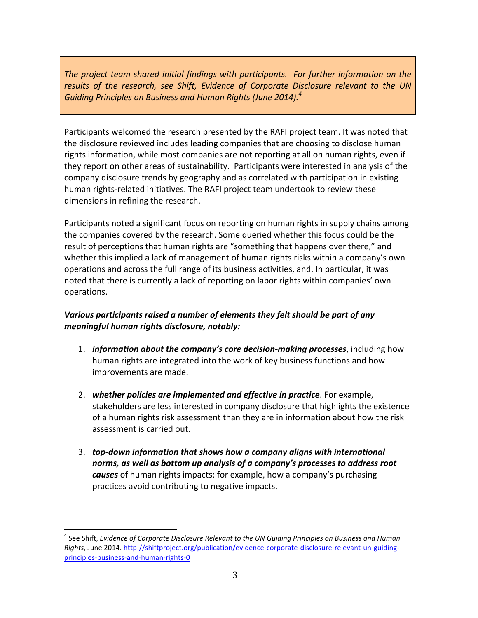The project team shared initial findings with participants. For further information on the results of the research, see Shift, Evidence of Corporate Disclosure relevant to the UN *Guiding Principles on Business and Human Rights (June 2014). 4*

Participants welcomed the research presented by the RAFI project team. It was noted that the disclosure reviewed includes leading companies that are choosing to disclose human rights information, while most companies are not reporting at all on human rights, even if they report on other areas of sustainability. Participants were interested in analysis of the company disclosure trends by geography and as correlated with participation in existing human rights-related initiatives. The RAFI project team undertook to review these dimensions in refining the research.

Participants noted a significant focus on reporting on human rights in supply chains among the companies covered by the research. Some queried whether this focus could be the result of perceptions that human rights are "something that happens over there," and whether this implied a lack of management of human rights risks within a company's own operations and across the full range of its business activities, and. In particular, it was noted that there is currently a lack of reporting on labor rights within companies' own operations. 

# *Various participants raised a number of elements they felt should be part of any meaningful human rights disclosure, notably:*

- 1. *information about the company's core decision-making processes*, including how human rights are integrated into the work of key business functions and how improvements are made.
- 2. whether policies are implemented and effective in practice. For example, stakeholders are less interested in company disclosure that highlights the existence of a human rights risk assessment than they are in information about how the risk assessment is carried out.
- 3. *top-down information that shows how a company aligns with international* norms, as well as bottom up analysis of a company's processes to address root **causes** of human rights impacts; for example, how a company's purchasing practices avoid contributing to negative impacts.

<sup>&</sup>lt;sup>4</sup> See Shift, *Evidence of Corporate Disclosure Relevant to the UN Guiding Principles on Business and Human Rights*, June 2014. http://shiftproject.org/publication/evidence-corporate-disclosure-relevant-un-guidingprinciples-business-and-human-rights-0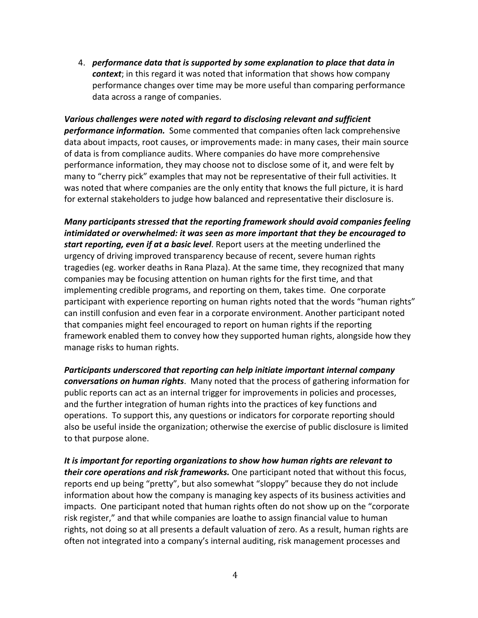4. *performance data that is supported by some explanation to place that data in* **context**; in this regard it was noted that information that shows how company performance changes over time may be more useful than comparing performance data across a range of companies.

*Various challenges were noted with regard to disclosing relevant and sufficient* **performance information.** Some commented that companies often lack comprehensive data about impacts, root causes, or improvements made: in many cases, their main source of data is from compliance audits. Where companies do have more comprehensive performance information, they may choose not to disclose some of it, and were felt by many to "cherry pick" examples that may not be representative of their full activities. It was noted that where companies are the only entity that knows the full picture, it is hard for external stakeholders to judge how balanced and representative their disclosure is.

*Many participants stressed that the reporting framework should avoid companies feeling intimidated* or overwhelmed: it was seen as more important that they be encouraged to *start reporting, even if at a basic level*. Report users at the meeting underlined the urgency of driving improved transparency because of recent, severe human rights tragedies (eg. worker deaths in Rana Plaza). At the same time, they recognized that many companies may be focusing attention on human rights for the first time, and that implementing credible programs, and reporting on them, takes time. One corporate participant with experience reporting on human rights noted that the words "human rights" can instill confusion and even fear in a corporate environment. Another participant noted that companies might feel encouraged to report on human rights if the reporting framework enabled them to convey how they supported human rights, alongside how they manage risks to human rights.

**Participants underscored that reporting can help initiate important internal company** conversations on human rights. Many noted that the process of gathering information for public reports can act as an internal trigger for improvements in policies and processes, and the further integration of human rights into the practices of key functions and operations. To support this, any questions or indicators for corporate reporting should also be useful inside the organization; otherwise the exercise of public disclosure is limited to that purpose alone.

It is important for reporting organizations to show how human rights are relevant to their core operations and risk frameworks. One participant noted that without this focus, reports end up being "pretty", but also somewhat "sloppy" because they do not include information about how the company is managing key aspects of its business activities and impacts. One participant noted that human rights often do not show up on the "corporate risk register," and that while companies are loathe to assign financial value to human rights, not doing so at all presents a default valuation of zero. As a result, human rights are often not integrated into a company's internal auditing, risk management processes and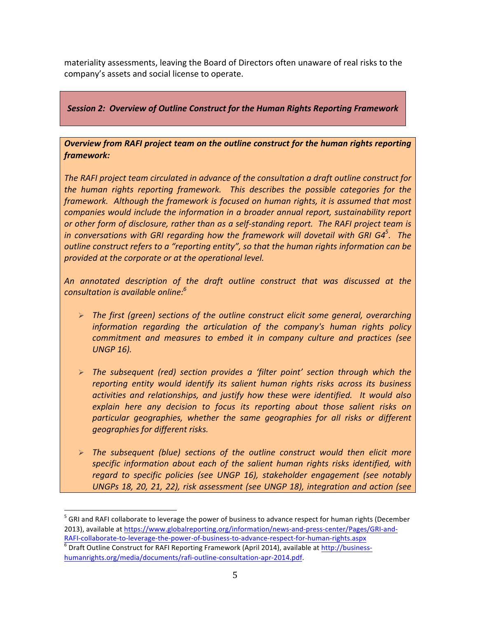materiality assessments, leaving the Board of Directors often unaware of real risks to the company's assets and social license to operate.

## **Session 2: Overview of Outline Construct for the Human Rights Reporting Framework**

## **Overview from RAFI project team on the outline construct for the human rights reporting** *framework:*

The RAFI project team circulated in advance of the consultation a draft outline construct for *the human rights reporting framework. This describes the possible categories for the framework.* Although the framework is focused on human rights, it is assumed that most *companies* would include the information in a broader annual report, sustainability report *or* other form of disclosure, rather than as a self-standing report. The RAFI project team is *in conversations with GRI regarding how the framework will dovetail with GRI G4* $^5$ *. The outline construct refers to a "reporting entity", so that the human rights information can be provided at the corporate or at the operational level.* 

An annotated description of the draft outline construct that was discussed at the *consultation is available online: 6*

- **►** The first (green) sections of the outline construct elicit some general, overarching *information regarding the articulation of the company's human rights policy commitment and measures to embed it in company culture and practices (see UNGP 16).*
- **The subsequent (red) section provides a 'filter point' section through which the** reporting entity would *identify* its salient human rights risks across its business *activities and relationships, and justify how these were identified. It would also explain here any decision to focus its reporting about those salient risks on*  particular geographies, whether the same geographies for all risks or different *geographies for different risks.*
- **The subsequent (blue) sections of the outline construct would then elicit more** specific information about each of the salient human rights risks identified, with regard to specific policies (see UNGP 16), stakeholder engagement (see notably UNGPs 18, 20, 21, 22), risk assessment (see UNGP 18), integration and action (see

 $<sup>5</sup>$  GRI and RAFI collaborate to leverage the power of business to advance respect for human rights (December</sup> 2013), available at https://www.globalreporting.org/information/news-and-press-center/Pages/GRI-and-

RAFI-collaborate-to-leverage-the-power-of-business-to-advance-respect-for-human-rights.aspx  $\frac{6}{6}$  Draft Outline Construct for RAFI Reporting Framework (April 2014), available at http://businesshumanrights.org/media/documents/rafi-outline-consultation-apr-2014.pdf.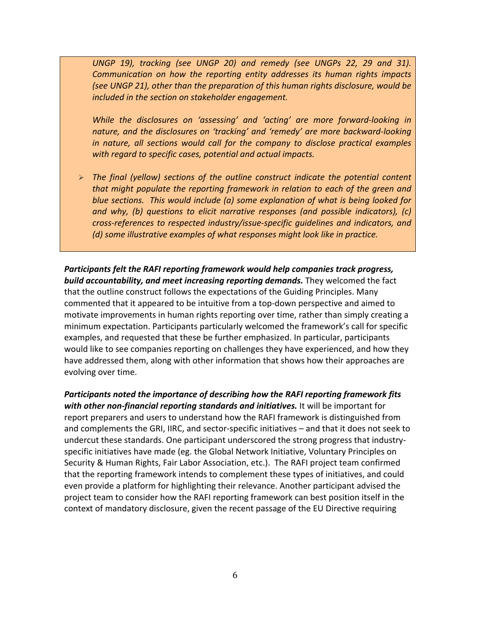UNGP 19), tracking (see UNGP 20) and remedy (see UNGPs 22, 29 and 31). *Communication* on how the reporting entity addresses its human rights impacts *(see UNGP 21), other than the preparation of this human rights disclosure, would be included in the section on stakeholder engagement.* 

*While the disclosures on 'assessing' and 'acting' are more forward-looking in* nature, and the disclosures on 'tracking' and 'remedy' are more backward-looking *in nature, all sections would call for the company to disclose practical examples* with regard to specific cases, potential and actual impacts.

**►** The final (yellow) sections of the outline construct indicate the potential content *that might populate the reporting framework in relation to each of the green and blue sections.* This would include (a) some explanation of what is being looked for *and* why, (b) questions to elicit narrative responses (and possible indicators), (c) *cross-references to respected industry/issue-specific quidelines and indicators, and (d)* some illustrative examples of what responses might look like in practice.

*Participants felt the RAFI reporting framework would help companies track progress,* **build accountability, and meet increasing reporting demands.** They welcomed the fact that the outline construct follows the expectations of the Guiding Principles. Many commented that it appeared to be intuitive from a top-down perspective and aimed to motivate improvements in human rights reporting over time, rather than simply creating a minimum expectation. Participants particularly welcomed the framework's call for specific examples, and requested that these be further emphasized. In particular, participants would like to see companies reporting on challenges they have experienced, and how they have addressed them, along with other information that shows how their approaches are evolving over time.

Participants noted the importance of describing how the RAFI reporting framework fits *with other non-financial reporting standards and initiatives.* It will be important for report preparers and users to understand how the RAFI framework is distinguished from and complements the GRI, IIRC, and sector-specific initiatives - and that it does not seek to undercut these standards. One participant underscored the strong progress that industryspecific initiatives have made (eg. the Global Network Initiative, Voluntary Principles on Security & Human Rights, Fair Labor Association, etc.). The RAFI project team confirmed that the reporting framework intends to complement these types of initiatives, and could even provide a platform for highlighting their relevance. Another participant advised the project team to consider how the RAFI reporting framework can best position itself in the context of mandatory disclosure, given the recent passage of the EU Directive requiring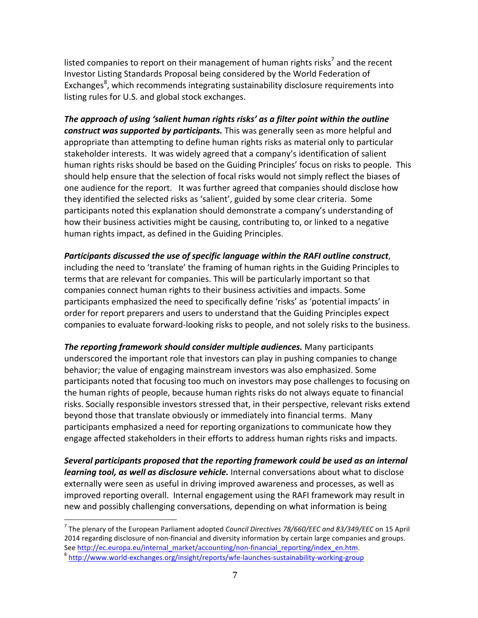listed companies to report on their management of human rights risks<sup>7</sup> and the recent Investor Listing Standards Proposal being considered by the World Federation of Exchanges<sup>8</sup>, which recommends integrating sustainability disclosure requirements into listing rules for U.S. and global stock exchanges.

The approach of using 'salient human rights risks' as a filter point within the outline *construct* was supported by participants. This was generally seen as more helpful and appropriate than attempting to define human rights risks as material only to particular stakeholder interests. It was widely agreed that a company's identification of salient human rights risks should be based on the Guiding Principles' focus on risks to people. This should help ensure that the selection of focal risks would not simply reflect the biases of one audience for the report. It was further agreed that companies should disclose how they identified the selected risks as 'salient', guided by some clear criteria. Some participants noted this explanation should demonstrate a company's understanding of how their business activities might be causing, contributing to, or linked to a negative human rights impact, as defined in the Guiding Principles.

Participants discussed the use of specific language within the RAFI outline construct, including the need to 'translate' the framing of human rights in the Guiding Principles to terms that are relevant for companies. This will be particularly important so that companies connect human rights to their business activities and impacts. Some participants emphasized the need to specifically define 'risks' as 'potential impacts' in order for report preparers and users to understand that the Guiding Principles expect companies to evaluate forward-looking risks to people, and not solely risks to the business.

*The reporting framework should consider multiple audiences.* Many participants underscored the important role that investors can play in pushing companies to change behavior; the value of engaging mainstream investors was also emphasized. Some participants noted that focusing too much on investors may pose challenges to focusing on the human rights of people, because human rights risks do not always equate to financial risks. Socially responsible investors stressed that, in their perspective, relevant risks extend beyond those that translate obviously or immediately into financial terms. Many participants emphasized a need for reporting organizations to communicate how they engage affected stakeholders in their efforts to address human rights risks and impacts.

Several participants proposed that the reporting framework could be used as an internal *learning tool, as well as disclosure vehicle.* Internal conversations about what to disclose externally were seen as useful in driving improved awareness and processes, as well as improved reporting overall. Internal engagement using the RAFI framework may result in new and possibly challenging conversations, depending on what information is being

<sup>&</sup>lt;sup>7</sup> The plenary of the European Parliament adopted *Council Directives 78/660/EEC and 83/349/EEC* on 15 April 2014 regarding disclosure of non-financial and diversity information by certain large companies and groups. See http://ec.europa.eu/internal\_market/accounting/non-financial\_reporting/index\_en.htm.<br>
<sup>8</sup> http://www.world-exchanges.org/insight/reports/wfe-launches-sustainability-working-group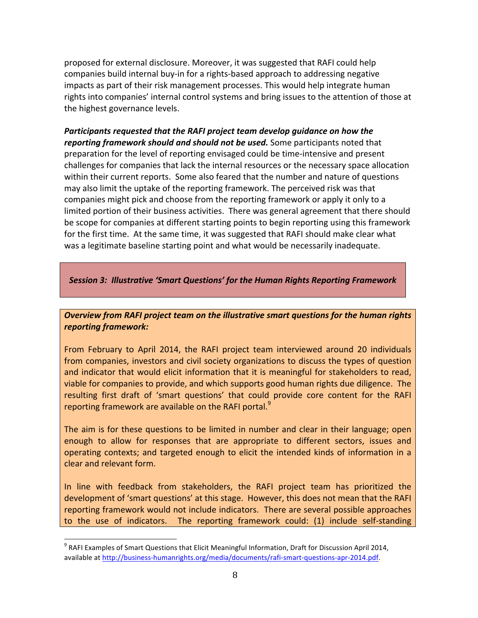proposed for external disclosure. Moreover, it was suggested that RAFI could help companies build internal buy-in for a rights-based approach to addressing negative impacts as part of their risk management processes. This would help integrate human rights into companies' internal control systems and bring issues to the attention of those at the highest governance levels.

*Participants requested that the RAFI project team develop quidance on how the reporting framework should and should not be used.* Some participants noted that preparation for the level of reporting envisaged could be time-intensive and present challenges for companies that lack the internal resources or the necessary space allocation within their current reports. Some also feared that the number and nature of questions may also limit the uptake of the reporting framework. The perceived risk was that companies might pick and choose from the reporting framework or apply it only to a limited portion of their business activities. There was general agreement that there should be scope for companies at different starting points to begin reporting using this framework for the first time. At the same time, it was suggested that RAFI should make clear what was a legitimate baseline starting point and what would be necessarily inadequate.

**Session 3: Illustrative 'Smart Questions' for the Human Rights Reporting Framework** 

**Overview from RAFI project team on the illustrative smart questions for the human rights** *reporting framework:*

From February to April 2014, the RAFI project team interviewed around 20 individuals from companies, investors and civil society organizations to discuss the types of question and indicator that would elicit information that it is meaningful for stakeholders to read, viable for companies to provide, and which supports good human rights due diligence. The resulting first draft of 'smart questions' that could provide core content for the RAFI reporting framework are available on the RAFI portal.<sup>9</sup>

The aim is for these questions to be limited in number and clear in their language; open enough to allow for responses that are appropriate to different sectors, issues and operating contexts; and targeted enough to elicit the intended kinds of information in a clear and relevant form.

In line with feedback from stakeholders, the RAFI project team has prioritized the development of 'smart questions' at this stage. However, this does not mean that the RAFI reporting framework would not include indicators. There are several possible approaches to the use of indicators. The reporting framework could: (1) include self-standing

 $9$  RAFI Examples of Smart Questions that Elicit Meaningful Information, Draft for Discussion April 2014, available at http://business-humanrights.org/media/documents/rafi-smart-questions-apr-2014.pdf.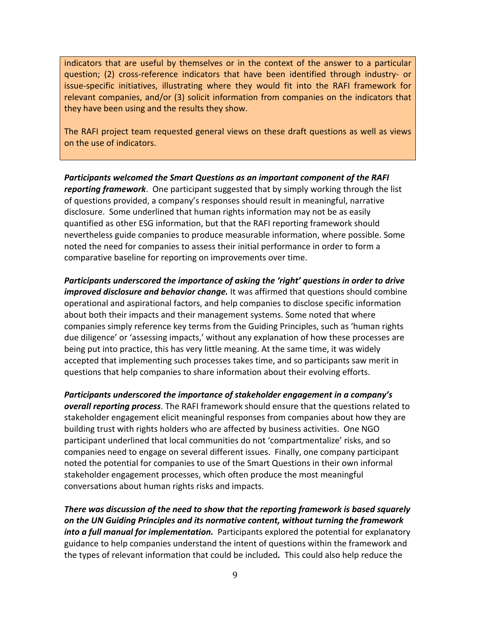indicators that are useful by themselves or in the context of the answer to a particular question; (2) cross-reference indicators that have been identified through industry- or issue-specific initiatives, illustrating where they would fit into the RAFI framework for relevant companies, and/or  $(3)$  solicit information from companies on the indicators that they have been using and the results they show.

The RAFI project team requested general views on these draft questions as well as views on the use of indicators.

**Participants welcomed the Smart Questions as an important component of the RAFI reporting framework**. One participant suggested that by simply working through the list of questions provided, a company's responses should result in meaningful, narrative disclosure. Some underlined that human rights information may not be as easily quantified as other ESG information, but that the RAFI reporting framework should nevertheless guide companies to produce measurable information, where possible. Some noted the need for companies to assess their initial performance in order to form a comparative baseline for reporting on improvements over time.

Participants underscored the *importance* of asking the 'right' questions in order to drive *improved disclosure and behavior change.* It was affirmed that questions should combine operational and aspirational factors, and help companies to disclose specific information about both their impacts and their management systems. Some noted that where companies simply reference key terms from the Guiding Principles, such as 'human rights due diligence' or 'assessing impacts,' without any explanation of how these processes are being put into practice, this has very little meaning. At the same time, it was widely accepted that implementing such processes takes time, and so participants saw merit in questions that help companies to share information about their evolving efforts.

*Participants* underscored the importance of stakeholder engagement in a company's *overall reporting process*. The RAFI framework should ensure that the questions related to stakeholder engagement elicit meaningful responses from companies about how they are building trust with rights holders who are affected by business activities. One NGO participant underlined that local communities do not 'compartmentalize' risks, and so companies need to engage on several different issues. Finally, one company participant noted the potential for companies to use of the Smart Questions in their own informal stakeholder engagement processes, which often produce the most meaningful conversations about human rights risks and impacts.

There was discussion of the need to show that the reporting framework is based squarely on the UN Guiding Principles and its normative content, without turning the framework *into a full manual for implementation.* Participants explored the potential for explanatory guidance to help companies understand the intent of questions within the framework and the types of relevant information that could be included. This could also help reduce the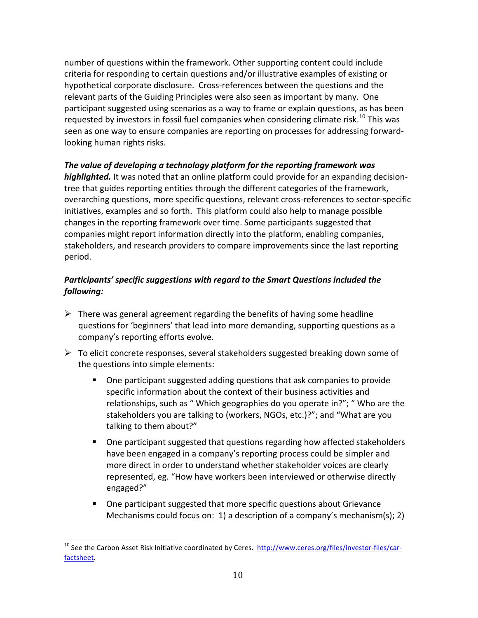number of questions within the framework. Other supporting content could include criteria for responding to certain questions and/or illustrative examples of existing or hypothetical corporate disclosure. Cross-references between the questions and the relevant parts of the Guiding Principles were also seen as important by many. One participant suggested using scenarios as a way to frame or explain questions, as has been requested by investors in fossil fuel companies when considering climate risk.<sup>10</sup> This was seen as one way to ensure companies are reporting on processes for addressing forwardlooking human rights risks.

## The value of developing a technology platform for the reporting framework was

**highlighted.** It was noted that an online platform could provide for an expanding decisiontree that guides reporting entities through the different categories of the framework, overarching questions, more specific questions, relevant cross-references to sector-specific initiatives, examples and so forth. This platform could also help to manage possible changes in the reporting framework over time. Some participants suggested that companies might report information directly into the platform, enabling companies, stakeholders, and research providers to compare improvements since the last reporting period.

## Participants' specific suggestions with regard to the Smart Questions included the *following:*

- $\triangleright$  There was general agreement regarding the benefits of having some headline questions for 'beginners' that lead into more demanding, supporting questions as a company's reporting efforts evolve.
- $\triangleright$  To elicit concrete responses, several stakeholders suggested breaking down some of the questions into simple elements:
	- One participant suggested adding questions that ask companies to provide specific information about the context of their business activities and relationships, such as " Which geographies do you operate in?"; " Who are the stakeholders you are talking to (workers, NGOs, etc.)?"; and "What are you talking to them about?"
	- **One participant suggested that questions regarding how affected stakeholders** have been engaged in a company's reporting process could be simpler and more direct in order to understand whether stakeholder voices are clearly represented, eg. "How have workers been interviewed or otherwise directly engaged?"
	- One participant suggested that more specific questions about Grievance Mechanisms could focus on: 1) a description of a company's mechanism(s); 2)

<sup>&</sup>lt;sup>10</sup> See the Carbon Asset Risk Initiative coordinated by Ceres. http://www.ceres.org/files/investor-files/carfactsheet.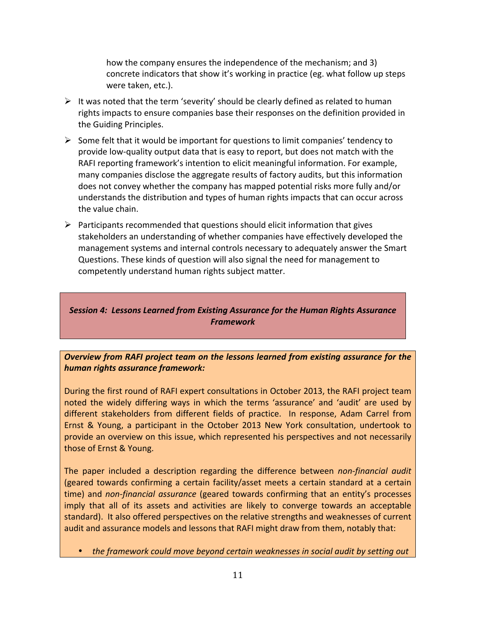how the company ensures the independence of the mechanism; and 3) concrete indicators that show it's working in practice (eg. what follow up steps were taken, etc.).

- $\triangleright$  It was noted that the term 'severity' should be clearly defined as related to human rights impacts to ensure companies base their responses on the definition provided in the Guiding Principles.
- $\triangleright$  Some felt that it would be important for questions to limit companies' tendency to provide low-quality output data that is easy to report, but does not match with the RAFI reporting framework's intention to elicit meaningful information. For example, many companies disclose the aggregate results of factory audits, but this information does not convey whether the company has mapped potential risks more fully and/or understands the distribution and types of human rights impacts that can occur across the value chain.
- $\triangleright$  Participants recommended that questions should elicit information that gives stakeholders an understanding of whether companies have effectively developed the management systems and internal controls necessary to adequately answer the Smart Questions. These kinds of question will also signal the need for management to competently understand human rights subject matter.

# **Session 4: Lessons Learned from Existing Assurance for the Human Rights Assurance** *Framework*

### **Overview from RAFI project team on the lessons learned from existing assurance for the** *human rights assurance framework:*

During the first round of RAFI expert consultations in October 2013, the RAFI project team noted the widely differing ways in which the terms 'assurance' and 'audit' are used by different stakeholders from different fields of practice. In response, Adam Carrel from Ernst & Young, a participant in the October 2013 New York consultation, undertook to provide an overview on this issue, which represented his perspectives and not necessarily those of Ernst & Young.

The paper included a description regarding the difference between *non-financial audit* (geared towards confirming a certain facility/asset meets a certain standard at a certain time) and *non-financial assurance* (geared towards confirming that an entity's processes imply that all of its assets and activities are likely to converge towards an acceptable standard). It also offered perspectives on the relative strengths and weaknesses of current audit and assurance models and lessons that RAFI might draw from them, notably that:

• the framework could move beyond certain weaknesses in social audit by setting out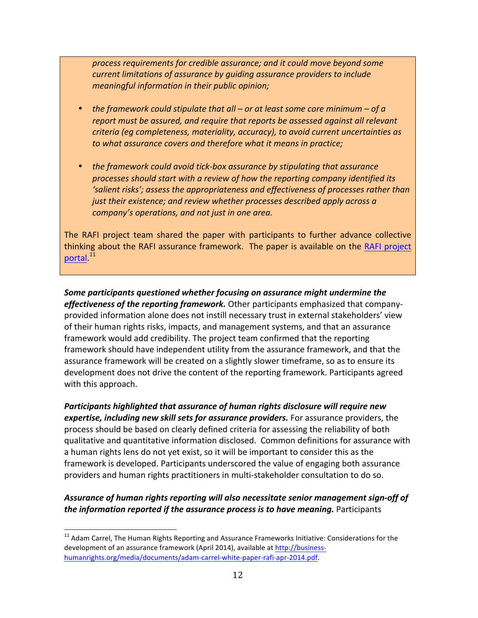*process requirements for credible assurance; and it could move beyond some current limitations of assurance by guiding assurance providers to include meaningful information in their public opinion;*

- *the framework could stipulate that all or at least some core minimum of a* report must be assured, and require that reports be assessed against all relevant *criteria* (eg completeness, materiality, accuracy), to avoid current uncertainties as to what assurance covers and therefore what it means in practice;
- the framework could avoid tick-box assurance by stipulating that assurance processes should start with a review of how the reporting company identified its 'salient risks'; assess the appropriateness and effectiveness of processes rather than *just their existence; and review whether processes described apply across a company's* operations, and not just in one area.

The RAFI project team shared the paper with participants to further advance collective thinking about the RAFI assurance framework. The paper is available on the RAFI project portal.<sup>11</sup>

Some participants questioned whether focusing on assurance might undermine the *effectiveness of the reporting framework.* Other participants emphasized that companyprovided information alone does not instill necessary trust in external stakeholders' view of their human rights risks, impacts, and management systems, and that an assurance framework would add credibility. The project team confirmed that the reporting framework should have independent utility from the assurance framework, and that the assurance framework will be created on a slightly slower timeframe, so as to ensure its development does not drive the content of the reporting framework. Participants agreed with this approach.

Participants highlighted that assurance of human rights disclosure will require new *expertise, including new skill sets for assurance providers.* **For assurance providers, the** process should be based on clearly defined criteria for assessing the reliability of both qualitative and quantitative information disclosed. Common definitions for assurance with a human rights lens do not yet exist, so it will be important to consider this as the framework is developed. Participants underscored the value of engaging both assurance providers and human rights practitioners in multi-stakeholder consultation to do so.

### Assurance of human rights reporting will also necessitate senior management sign-off of *the information reported if the assurance process is to have meaning.* **Participants**

 $11$  Adam Carrel, The Human Rights Reporting and Assurance Frameworks Initiative: Considerations for the development of an assurance framework (April 2014), available at http://businesshumanrights.org/media/documents/adam-carrel-white-paper-rafi-apr-2014.pdf.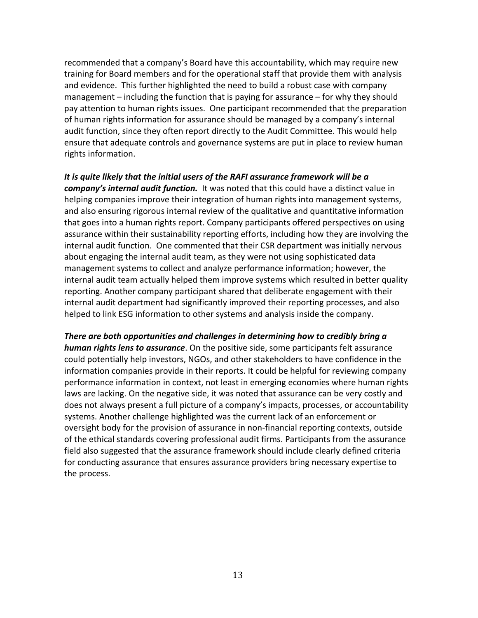recommended that a company's Board have this accountability, which may require new training for Board members and for the operational staff that provide them with analysis and evidence. This further highlighted the need to build a robust case with company management  $-$  including the function that is paying for assurance  $-$  for why they should pay attention to human rights issues. One participant recommended that the preparation of human rights information for assurance should be managed by a company's internal audit function, since they often report directly to the Audit Committee. This would help ensure that adequate controls and governance systems are put in place to review human rights information.

#### It is quite likely that the initial users of the RAFI assurance framework will be a

company's internal audit function. It was noted that this could have a distinct value in helping companies improve their integration of human rights into management systems, and also ensuring rigorous internal review of the qualitative and quantitative information that goes into a human rights report. Company participants offered perspectives on using assurance within their sustainability reporting efforts, including how they are involving the internal audit function. One commented that their CSR department was initially nervous about engaging the internal audit team, as they were not using sophisticated data management systems to collect and analyze performance information; however, the internal audit team actually helped them improve systems which resulted in better quality reporting. Another company participant shared that deliberate engagement with their internal audit department had significantly improved their reporting processes, and also helped to link ESG information to other systems and analysis inside the company.

There are both opportunities and challenges in determining how to credibly bring a **human rights lens to assurance**. On the positive side, some participants felt assurance could potentially help investors, NGOs, and other stakeholders to have confidence in the information companies provide in their reports. It could be helpful for reviewing company performance information in context, not least in emerging economies where human rights laws are lacking. On the negative side, it was noted that assurance can be very costly and does not always present a full picture of a company's impacts, processes, or accountability systems. Another challenge highlighted was the current lack of an enforcement or oversight body for the provision of assurance in non-financial reporting contexts, outside of the ethical standards covering professional audit firms. Participants from the assurance field also suggested that the assurance framework should include clearly defined criteria for conducting assurance that ensures assurance providers bring necessary expertise to the process.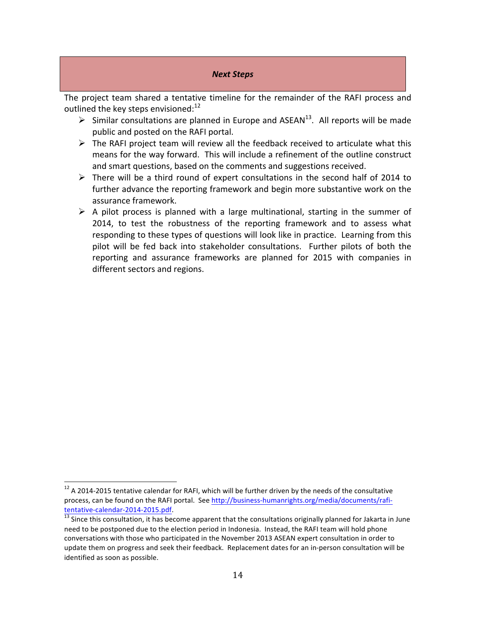#### *Next Steps*

The project team shared a tentative timeline for the remainder of the RAFI process and outlined the key steps envisioned: $^{12}$ 

- $\triangleright$  Similar consultations are planned in Europe and ASEAN<sup>13</sup>. All reports will be made public and posted on the RAFI portal.
- $\triangleright$  The RAFI project team will review all the feedback received to articulate what this means for the way forward. This will include a refinement of the outline construct and smart questions, based on the comments and suggestions received.
- $\triangleright$  There will be a third round of expert consultations in the second half of 2014 to further advance the reporting framework and begin more substantive work on the assurance framework.
- $\triangleright$  A pilot process is planned with a large multinational, starting in the summer of 2014, to test the robustness of the reporting framework and to assess what responding to these types of questions will look like in practice. Learning from this pilot will be fed back into stakeholder consultations. Further pilots of both the reporting and assurance frameworks are planned for 2015 with companies in different sectors and regions.

 $12$  A 2014-2015 tentative calendar for RAFI, which will be further driven by the needs of the consultative process, can be found on the RAFI portal. See http://business-humanrights.org/media/documents/rafitentative-calendar-2014-2015.pdf.<br> $\frac{13}{13}$  Since this consultation, it has become apparent that the consultations originally planned for Jakarta in June

need to be postponed due to the election period in Indonesia. Instead, the RAFI team will hold phone conversations with those who participated in the November 2013 ASEAN expert consultation in order to update them on progress and seek their feedback. Replacement dates for an in-person consultation will be identified as soon as possible.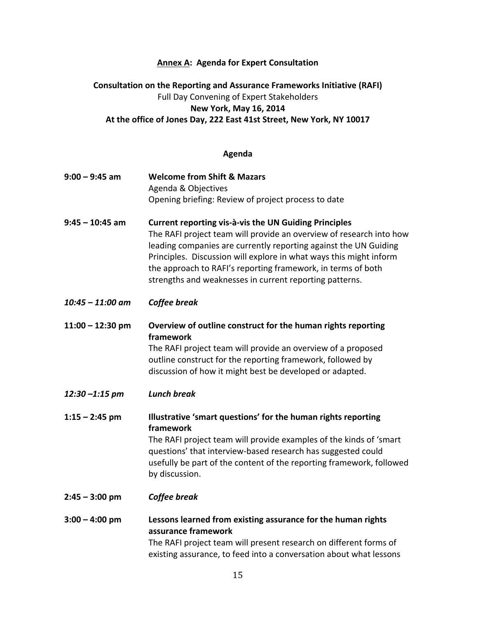### **Annex A: Agenda for Expert Consultation**

# **Consultation on the Reporting and Assurance Frameworks Initiative (RAFI)** Full Day Convening of Expert Stakeholders **New York, May 16, 2014** At the office of Jones Day, 222 East 41st Street, New York, NY 10017

## **Agenda**

| $9:00 - 9:45$ am   | <b>Welcome from Shift &amp; Mazars</b>                                                                                                                                                                                                                                                                                                                                                            |
|--------------------|---------------------------------------------------------------------------------------------------------------------------------------------------------------------------------------------------------------------------------------------------------------------------------------------------------------------------------------------------------------------------------------------------|
|                    | Agenda & Objectives                                                                                                                                                                                                                                                                                                                                                                               |
|                    | Opening briefing: Review of project process to date                                                                                                                                                                                                                                                                                                                                               |
|                    |                                                                                                                                                                                                                                                                                                                                                                                                   |
| $9:45 - 10:45$ am  | Current reporting vis-à-vis the UN Guiding Principles<br>The RAFI project team will provide an overview of research into how<br>leading companies are currently reporting against the UN Guiding<br>Principles. Discussion will explore in what ways this might inform<br>the approach to RAFI's reporting framework, in terms of both<br>strengths and weaknesses in current reporting patterns. |
| $10:45 - 11:00$ am | Coffee break                                                                                                                                                                                                                                                                                                                                                                                      |
| $11:00 - 12:30$ pm | Overview of outline construct for the human rights reporting<br>framework                                                                                                                                                                                                                                                                                                                         |
|                    | The RAFI project team will provide an overview of a proposed<br>outline construct for the reporting framework, followed by<br>discussion of how it might best be developed or adapted.                                                                                                                                                                                                            |
| $12:30 - 1:15$ pm  | <b>Lunch break</b>                                                                                                                                                                                                                                                                                                                                                                                |
| $1:15 - 2:45$ pm   | Illustrative 'smart questions' for the human rights reporting<br>framework                                                                                                                                                                                                                                                                                                                        |
|                    | The RAFI project team will provide examples of the kinds of 'smart                                                                                                                                                                                                                                                                                                                                |
|                    | questions' that interview-based research has suggested could<br>usefully be part of the content of the reporting framework, followed<br>by discussion.                                                                                                                                                                                                                                            |
| $2:45 - 3:00$ pm   | Coffee break                                                                                                                                                                                                                                                                                                                                                                                      |
| $3:00 - 4:00$ pm   | Lessons learned from existing assurance for the human rights<br>assurance framework                                                                                                                                                                                                                                                                                                               |
|                    | The RAFI project team will present research on different forms of                                                                                                                                                                                                                                                                                                                                 |
|                    | existing assurance, to feed into a conversation about what lessons                                                                                                                                                                                                                                                                                                                                |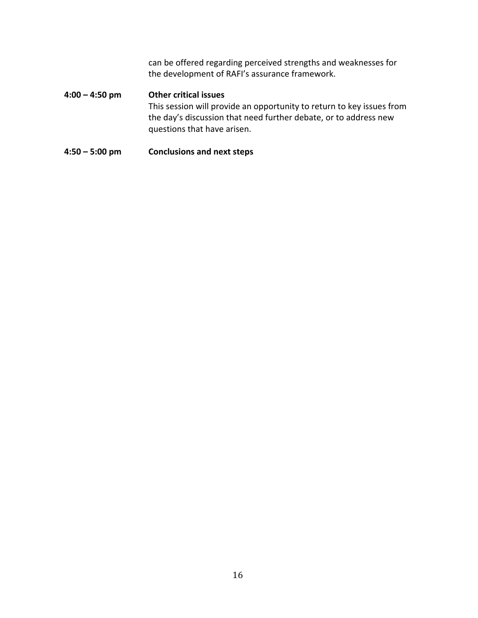can be offered regarding perceived strengths and weaknesses for the development of RAFI's assurance framework.

# **4:00 – 4:50 pm Other critical issues** This session will provide an opportunity to return to key issues from the day's discussion that need further debate, or to address new questions that have arisen.

## **4:50 – 5:00 pm Conclusions and next steps**